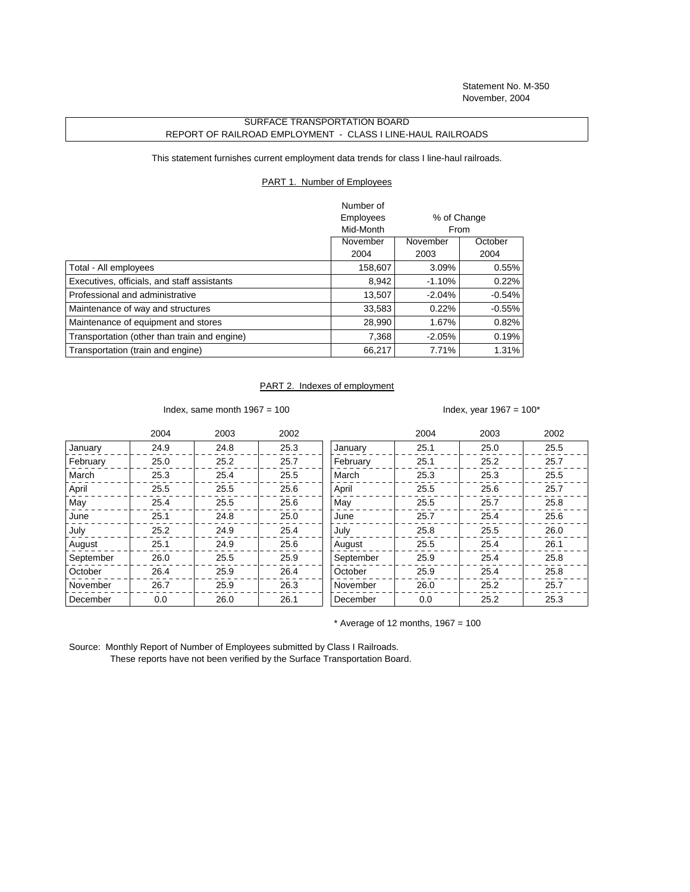Statement No. M-350 November, 2004

## SURFACE TRANSPORTATION BOARD REPORT OF RAILROAD EMPLOYMENT - CLASS I LINE-HAUL RAILROADS

This statement furnishes current employment data trends for class I line-haul railroads.

## PART 1. Number of Employees

|                                              | Number of |             |           |
|----------------------------------------------|-----------|-------------|-----------|
|                                              | Employees | % of Change |           |
|                                              | Mid-Month | From        |           |
|                                              | November  | November    | October   |
|                                              | 2004      | 2003        | 2004      |
| Total - All employees                        | 158,607   | 3.09%       | $0.55\%$  |
| Executives, officials, and staff assistants  | 8,942     | $-1.10%$    | 0.22%     |
| Professional and administrative              | 13.507    | $-2.04%$    | $-0.54%$  |
| Maintenance of way and structures            | 33,583    | 0.22%       | $-0.55\%$ |
| Maintenance of equipment and stores          | 28,990    | 1.67%       | 0.82%     |
| Transportation (other than train and engine) | 7,368     | $-2.05%$    | 0.19%     |
| Transportation (train and engine)            | 66,217    | 7.71%       | 1.31%     |

## PART 2. Indexes of employment

Index, same month  $1967 = 100$  Index, year  $1967 = 100^*$ 

|           | 2004 | 2003 | 2002 |           | 2004 | 2003 | 2002 |
|-----------|------|------|------|-----------|------|------|------|
| January   | 24.9 | 24.8 | 25.3 | January   | 25.1 | 25.0 | 25.5 |
| February  | 25.0 | 25.2 | 25.7 | February  | 25.1 | 25.2 | 25.7 |
| March     | 25.3 | 25.4 | 25.5 | March     | 25.3 | 25.3 | 25.5 |
| April     | 25.5 | 25.5 | 25.6 | April     | 25.5 | 25.6 | 25.7 |
| May       | 25.4 | 25.5 | 25.6 | May       | 25.5 | 25.7 | 25.8 |
| June      | 25.1 | 24.8 | 25.0 | June      | 25.7 | 25.4 | 25.6 |
| July      | 25.2 | 24.9 | 25.4 | July      | 25.8 | 25.5 | 26.0 |
| August    | 25.1 | 24.9 | 25.6 | August    | 25.5 | 25.4 | 26.1 |
| September | 26.0 | 25.5 | 25.9 | September | 25.9 | 25.4 | 25.8 |
| October   | 26.4 | 25.9 | 26.4 | October   | 25.9 | 25.4 | 25.8 |
| November  | 26.7 | 25.9 | 26.3 | November  | 26.0 | 25.2 | 25.7 |
| December  | 0.0  | 26.0 | 26.1 | December  | 0.0  | 25.2 | 25.3 |

 $*$  Average of 12 months, 1967 = 100

Source: Monthly Report of Number of Employees submitted by Class I Railroads. These reports have not been verified by the Surface Transportation Board.